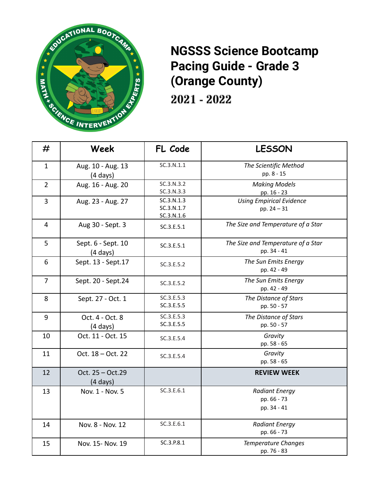

## **NGSSS Science Bootcamp Pacing Guide - Grade 3 (Orange County)**

2021 - 2022

| #              | Week                                     | FL Code                                | <b>LESSON</b>                                       |
|----------------|------------------------------------------|----------------------------------------|-----------------------------------------------------|
| $\mathbf{1}$   | Aug. 10 - Aug. 13<br>$(4 \text{ days})$  | SC.3.N.1.1                             | The Scientific Method<br>pp. 8 - 15                 |
| $\overline{2}$ | Aug. 16 - Aug. 20                        | SC.3.N.3.2<br>SC.3.N.3.3               | <b>Making Models</b><br>pp. 16 - 23                 |
| 3              | Aug. 23 - Aug. 27                        | SC.3.N.1.3<br>SC.3.N.1.7<br>SC.3.N.1.6 | <b>Using Empirical Evidence</b><br>pp. $24 - 31$    |
| $\overline{4}$ | Aug 30 - Sept. 3                         | SC.3.E.5.1                             | The Size and Temperature of a Star                  |
| 5              | Sept. 6 - Sept. 10<br>$(4 \text{ days})$ | SC.3.E.5.1                             | The Size and Temperature of a Star<br>pp. 34 - 41   |
| 6              | Sept. 13 - Sept. 17                      | SC.3.E.5.2                             | The Sun Emits Energy<br>pp. 42 - 49                 |
| $\overline{7}$ | Sept. 20 - Sept.24                       | SC.3.E.5.2                             | The Sun Emits Energy<br>pp. 42 - 49                 |
| 8              | Sept. 27 - Oct. 1                        | SC.3.E.5.3<br>SC.3.E.5.5               | The Distance of Stars<br>pp. 50 - 57                |
| 9              | Oct. 4 - Oct. 8<br>(4 days)              | SC.3.E.5.3<br>SC.3.E.5.5               | The Distance of Stars<br>pp. 50 - 57                |
| 10             | Oct. 11 - Oct. 15                        | SC.3.E.5.4                             | Gravity<br>pp. 58 - 65                              |
| 11             | Oct. 18 - Oct. 22                        | SC.3.E.5.4                             | Gravity<br>pp. 58 - 65                              |
| 12             | Oct. 25 - Oct.29<br>$(4 \text{ days})$   |                                        | <b>REVIEW WEEK</b>                                  |
| 13             | Nov. 1 - Nov. 5                          | SC.3.E.6.1                             | <b>Radiant Energy</b><br>pp. 66 - 73<br>pp. 34 - 41 |
| 14             | Nov. 8 - Nov. 12                         | SC.3.E.6.1                             | <b>Radiant Energy</b><br>pp. 66 - 73                |
| 15             | Nov. 15- Nov. 19                         | SC.3.P.8.1                             | <b>Temperature Changes</b><br>pp. 76 - 83           |